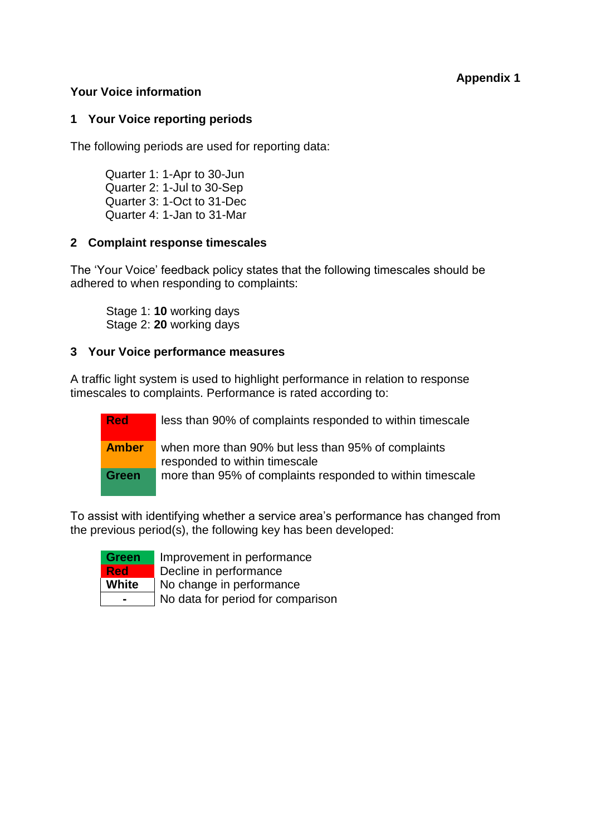## **Appendix 1**

## **Your Voice information**

## **1 Your Voice reporting periods**

The following periods are used for reporting data:

Quarter 1: 1-Apr to 30-Jun Quarter 2: 1-Jul to 30-Sep Quarter 3: 1-Oct to 31-Dec Quarter 4: 1-Jan to 31-Mar

### **2 Complaint response timescales**

The 'Your Voice' feedback policy states that the following timescales should be adhered to when responding to complaints:

Stage 1: **10** working days Stage 2: **20** working days

## **3 Your Voice performance measures**

A traffic light system is used to highlight performance in relation to response timescales to complaints. Performance is rated according to:

**Red** less than 90% of complaints responded to within timescale

**Amber** when more than 90% but less than 95% of complaints responded to within timescale **Green** more than 95% of complaints responded to within timescale

To assist with identifying whether a service area's performance has changed from the previous period(s), the following key has been developed:



**Green** Improvement in performance **Red** Decline in performance **White** | No change in performance

**-** No data for period for comparison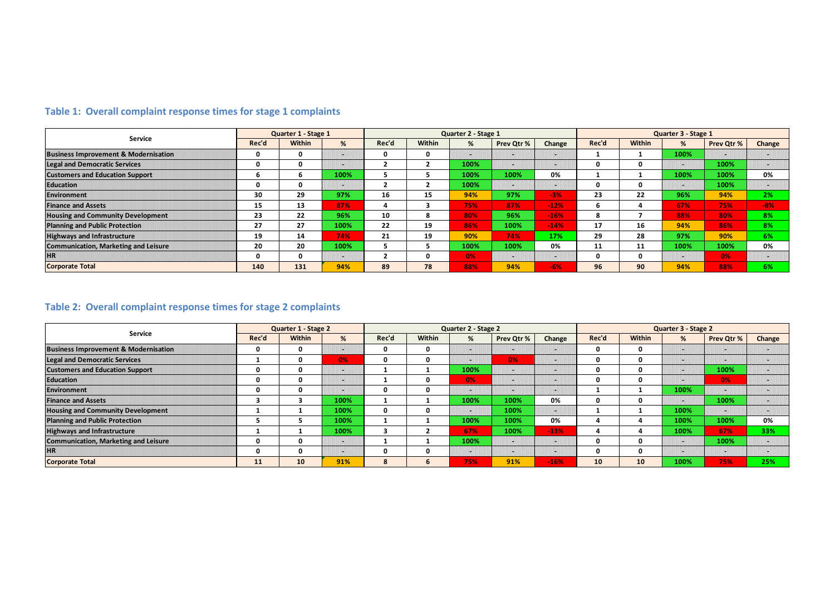| <b>Service</b>                                  |       | Quarter 1 - Stage 1 |      |                         | Quarter 2 - Stage 1 |      |               |        |          | Quarter 3 - Stage 1 |                          |            |        |  |
|-------------------------------------------------|-------|---------------------|------|-------------------------|---------------------|------|---------------|--------|----------|---------------------|--------------------------|------------|--------|--|
|                                                 | Rec'd | <b>Within</b>       | %    | Rec'd                   | Within              | %    | Prev Qtr %    | Change | Rec'd    | <b>Within</b>       | %                        | Prev Qtr % | Change |  |
| <b>Business Improvement &amp; Modernisation</b> | 0     | 0                   | 3928 | 0                       | 0                   | 488  |               | ш      |          |                     | 100%                     | 300        | ш      |  |
| <b>Legal and Democratic Services</b>            | 0     | 0                   | 1929 | $\overline{2}$          | $\overline{2}$      | 100% | 9948          | m      | n        | 0                   | 1926                     | 100%       | 1941   |  |
| <b>Customers and Education Support</b>          | 6     | 6.                  | 100% | ь                       | э                   | 100% | 100%          | 0%     |          |                     | 100%                     | 100%       | 0%     |  |
| <b>Education</b>                                | 0     | 0                   | 8888 | $\overline{2}$          | $\overline{2}$      | 100% | 888           | 9999   | $\Omega$ | n                   | 89888                    | 100%       | 888    |  |
| <b>Environment</b>                              | 30    | 29                  | 97%  | 16                      | 15                  | 94%  | 97%           | $-3%$  | 23       | 22                  | 96%                      | 94%        | 2%     |  |
| <b>Finance and Assets</b>                       | 15    | 13                  | 87%  | 4                       | 3                   | 75%  | 87%           | $-12%$ | 6        |                     | 67%                      | 75%        | $-8%$  |  |
| <b>Housing and Community Development</b>        | 23    | 22                  | 96%  | 10                      | 8                   | 80%  | 96%           | $-16%$ | 8        |                     | 88%                      | 80%        | 8%     |  |
| <b>Planning and Public Protection</b>           | 27    | 27                  | 100% | 22                      | 19                  | 86%  | 100%          | $-14%$ | 17       | 16                  | 94%                      | 86%        | 8%     |  |
| <b>Highways and Infrastructure</b>              | 19    | 14                  | 74%  | 21                      | 19                  | 90%  | 74%           | 17%    | 29       | 28                  | 97%                      | 90%        | 6%     |  |
| <b>Communication, Marketing and Leisure</b>     | 20    | 20                  | 100% | 5.                      | э.                  | 100% | 100%          | 0%     | 11       | 11                  | 100%                     | 100%       | 0%     |  |
| <b>HR</b>                                       | 0     | 0                   | w    | $\overline{\mathbf{z}}$ | $\mathbf{0}$        | 0%   | 888881<br>888 | w      | $\Omega$ | O                   | 888886<br>$\blacksquare$ | 0%         | 1998   |  |
| <b>Corporate Total</b>                          | 140   | 131                 | 94%  | 89                      | 78                  | 88%  | 94%           | $-6%$  | 96       | 90                  | 94%                      | 88%        | 6%     |  |

# **Table 1: Overall complaint response times for stage 1 complaints**

# **Table 2: Overall complaint response times for stage 2 complaints**

|                                                 | Quarter 1 - Stage 2 |          |      | Quarter 2 - Stage 2 |                |      |            |                | Quarter 3 - Stage 2 |          |      |            |        |
|-------------------------------------------------|---------------------|----------|------|---------------------|----------------|------|------------|----------------|---------------------|----------|------|------------|--------|
| Service                                         | Rec'd               | Within   | %    | Rec'd               | Within         | %    | Prev Qtr % | Change         | Rec'd               | Within   | %    | Prev Qtr % | Change |
| <b>Business Improvement &amp; Modernisation</b> | 0                   | 0        | ш    | 0                   | 0              | 52   | 84         | 88             | 0                   | 0        | 939  | 69         | 68     |
| <b>Legal and Democratic Services</b>            |                     |          | 0%   | 0                   | 0              | 82   | 0%         | 328            | O                   | $\Omega$ | 898  | 89         | 3988   |
| <b>Customers and Education Support</b>          |                     | O        | 888  |                     |                | 100% | 888        | 395            | O                   | 0        | 898  | 100%       | 888    |
| <b>Education</b>                                | O                   | O        | ng p |                     | 0              | 0%   | 限制         | 88             | 0                   | 0        | 888  | 0%         | 898    |
| <b>Environment</b>                              | O                   | O        | us e | 0                   | $\Omega$       | 52   | 848        | ш              |                     |          | 100% | 888        | 3233   |
| <b>Finance and Assets</b>                       | 3                   | з        | 100% |                     |                | 100% | 100%       | 0%             | 0                   | 0        | 888  | 100%       | a n    |
| <b>Housing and Community Development</b>        |                     |          | 100% | 0                   | 0              | 88   | 100%       | 198            |                     |          | 100% |            | 888    |
| <b>Planning and Public Protection</b>           |                     |          | 100% |                     |                | 100% | 100%       | 0%             | Δ                   |          | 100% | 100%       | 0%     |
| <b>Highways and Infrastructure</b>              |                     |          | 100% | 3                   | $\overline{2}$ | 67%  | 100%       | $-33%$         | 4                   | 4        | 100% | 67%        | 33%    |
| <b>Communication, Marketing and Leisure</b>     | O                   | $\Omega$ | 888  |                     |                | 100% | 8988       | <b>Section</b> | 0                   | 0        | 888  | 100%       | 3333   |
| <b>HR</b>                                       |                     | n        | 88   | Ω                   | O              | ×.   | 888        | 898            | U                   | 0        | 88   | ш          | $\sim$ |
| <b>Corporate Total</b>                          | 11                  | 10       | 91%  | 8                   | 6              | 75%  | 91%        | $-16%$         | 10                  | 10       | 100% | 75%        | 25%    |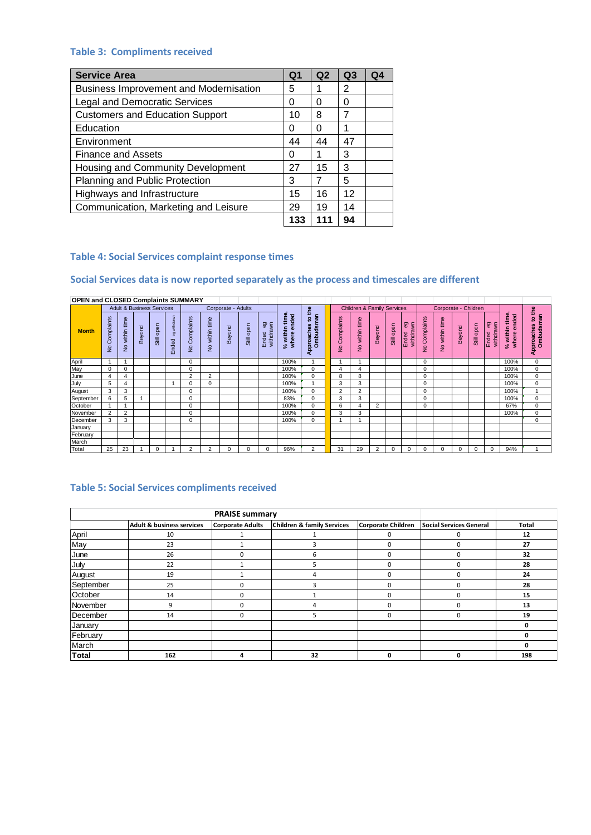### **Table 3: Compliments received**

| <b>Service Area</b>                           | Q <sub>1</sub> | Q <sub>2</sub> | Q <sub>3</sub> | Q4 |
|-----------------------------------------------|----------------|----------------|----------------|----|
| <b>Business Improvement and Modernisation</b> | 5              |                | 2              |    |
| <b>Legal and Democratic Services</b>          | O              | 0              | O              |    |
| <b>Customers and Education Support</b>        | 10             | 8              |                |    |
| Education                                     | 0              | O              |                |    |
| Environment                                   | 44             | 44             | 47             |    |
| <b>Finance and Assets</b>                     | O              |                | 3              |    |
| Housing and Community Development             | 27             | 15             | 3              |    |
| Planning and Public Protection                | 3              |                | 5              |    |
| Highways and Infrastructure                   | 15             | 16             | 12             |    |
| Communication, Marketing and Leisure          | 29             | 19             | 14             |    |
|                                               | 133            | 111            | 94             |    |

### **Table 4: Social Services complaint response times**

#### **Social Services data is now reported separately as the process and timescales are different**

| <b>OPEN and CLOSED Complaints SUMMARY</b> |                             |                                 |                                      |            |                       |                             |                              |                    |            |                          |                                            |                                                    |                |                                       |                |            |                                |               |                              |          |            |                                 |                                           |                                         |
|-------------------------------------------|-----------------------------|---------------------------------|--------------------------------------|------------|-----------------------|-----------------------------|------------------------------|--------------------|------------|--------------------------|--------------------------------------------|----------------------------------------------------|----------------|---------------------------------------|----------------|------------|--------------------------------|---------------|------------------------------|----------|------------|---------------------------------|-------------------------------------------|-----------------------------------------|
|                                           |                             |                                 | <b>Adult &amp; Business Services</b> |            |                       |                             |                              | Corporate - Adults |            |                          |                                            | £                                                  |                | <b>Children &amp; Family Services</b> |                |            |                                |               | Corporate - Children         |          |            |                                 |                                           | $e^{\pm}$                               |
| <b>Month</b>                              | Complaints<br>$\frac{1}{2}$ | time<br>within<br>$\frac{1}{2}$ | Beyond                               | Still open | eg withdrawn<br>Ended | Complaints<br>$\frac{1}{2}$ | within time<br>$\frac{1}{2}$ | Beyond             | Still open | 6à<br>withdrawn<br>Ended | within time<br>ended<br>where<br>$\approx$ | sman<br>$\mathbf{S}$<br>Approaches<br><b>Ombud</b> | No Complaints  | within time<br>$\frac{1}{2}$          | Beyond         | Still open | <b>B</b><br>withdrawn<br>Ended | No Complaints | within time<br>$\frac{1}{2}$ | Beyond   | Still open | <b>Sa</b><br>withdrawn<br>Ended | within time<br>ended<br>where<br>$\aleph$ | Ombudsman<br>$\mathbf{S}$<br>Approaches |
| April                                     | $\overline{A}$              |                                 |                                      |            |                       | $\Omega$                    |                              |                    |            |                          | 100%                                       |                                                    |                |                                       |                |            |                                | $\Omega$      |                              |          |            |                                 | 100%                                      | 0                                       |
| May                                       | 0                           | 0                               |                                      |            |                       | $\Omega$                    |                              |                    |            |                          | 100%                                       | 0                                                  | 4              |                                       |                |            |                                | 0             |                              |          |            |                                 | 100%                                      | $\mathbf 0$                             |
| June                                      | 4                           | 4                               |                                      |            |                       | $\overline{2}$              | $\overline{2}$               |                    |            |                          | 100%                                       | $\Omega$                                           | 8              | 8                                     |                |            |                                | 0             |                              |          |            |                                 | 100%                                      | $\mathbf 0$                             |
| July                                      | 5                           | 4                               |                                      |            |                       |                             | $\Omega$                     |                    |            |                          | 100%                                       |                                                    | 3              | 3                                     |                |            |                                | 0             |                              |          |            |                                 | 100%                                      | $\mathbf 0$                             |
| August                                    | 3                           | 3                               |                                      |            |                       | $\Omega$                    |                              |                    |            |                          | 100%                                       | 0                                                  | $\overline{2}$ | 2                                     |                |            |                                | 0             |                              |          |            |                                 | 100%                                      | $\overline{A}$                          |
| September                                 | 6                           | 5                               |                                      |            |                       |                             |                              |                    |            |                          | 83%                                        | 0                                                  | 3              | 3                                     |                |            |                                | 0             |                              |          |            |                                 | 100%                                      | $\mathbf 0$                             |
| October                                   | $\overline{A}$              |                                 |                                      |            |                       | $\Omega$                    |                              |                    |            |                          | 100%                                       | $\Omega$                                           | 6              | 4                                     | $\overline{2}$ |            |                                | $\Omega$      |                              |          |            |                                 | 67%                                       | $\mathbf 0$                             |
| November                                  | $\overline{2}$              | $\overline{2}$                  |                                      |            |                       |                             |                              |                    |            |                          | 100%                                       | 0                                                  | 3              | 3                                     |                |            |                                |               |                              |          |            |                                 | 100%                                      | 0                                       |
| December                                  | 3                           | 3                               |                                      |            |                       |                             |                              |                    |            |                          | 100%                                       | 0                                                  |                |                                       |                |            |                                |               |                              |          |            |                                 |                                           | $\mathbf 0$                             |
| January                                   |                             |                                 |                                      |            |                       |                             |                              |                    |            |                          |                                            |                                                    |                |                                       |                |            |                                |               |                              |          |            |                                 |                                           |                                         |
| February                                  |                             |                                 |                                      |            |                       |                             |                              |                    |            |                          |                                            |                                                    |                |                                       |                |            |                                |               |                              |          |            |                                 |                                           |                                         |
| March                                     |                             |                                 |                                      |            |                       |                             |                              |                    |            |                          |                                            |                                                    |                |                                       |                |            |                                |               |                              |          |            |                                 |                                           |                                         |
| Total                                     | 25                          | 23                              |                                      | $\Omega$   |                       | $\mathcal{P}$               | 2                            |                    |            | $\Omega$                 | 96%                                        | $\overline{2}$                                     | 31             | 29                                    | $\overline{2}$ | $\Omega$   | n                              | $\Omega$      | $\Omega$                     | $\Omega$ | $\Omega$   | $\Omega$                        | 94%                                       |                                         |

#### **Table 5: Social Services compliments received**

|           |                                      | <b>PRAISE summary</b>   |                                       |                           |                                |       |
|-----------|--------------------------------------|-------------------------|---------------------------------------|---------------------------|--------------------------------|-------|
|           | <b>Adult &amp; business services</b> | <b>Corporate Adults</b> | <b>Children &amp; family Services</b> | <b>Corporate Children</b> | <b>Social Services General</b> | Total |
| April     | 10                                   |                         |                                       |                           | 0                              | 12    |
| May       | 23                                   |                         |                                       | n                         | $\Omega$                       | 27    |
| June      | 26                                   | 0                       | 6                                     | 0                         | 0                              | 32    |
| July      | 22                                   |                         | 5                                     | ŋ                         | $\Omega$                       | 28    |
| August    | 19                                   |                         | 4                                     |                           | 0                              | 24    |
| September | 25                                   | $\Omega$                | э                                     | U                         | $\Omega$                       | 28    |
| October   | 14                                   | 0                       |                                       | U                         | $\Omega$                       | 15    |
| November  | 9                                    | $\Omega$                | 4                                     | 0                         | 0                              | 13    |
| December  | 14                                   | 0                       | 5                                     | 0                         | 0                              | 19    |
| January   |                                      |                         |                                       |                           |                                | 0     |
| February  |                                      |                         |                                       |                           |                                | 0     |
| March     |                                      |                         |                                       |                           |                                | 0     |
| Total     | 162                                  | 4                       | 32                                    | 0                         | 0                              | 198   |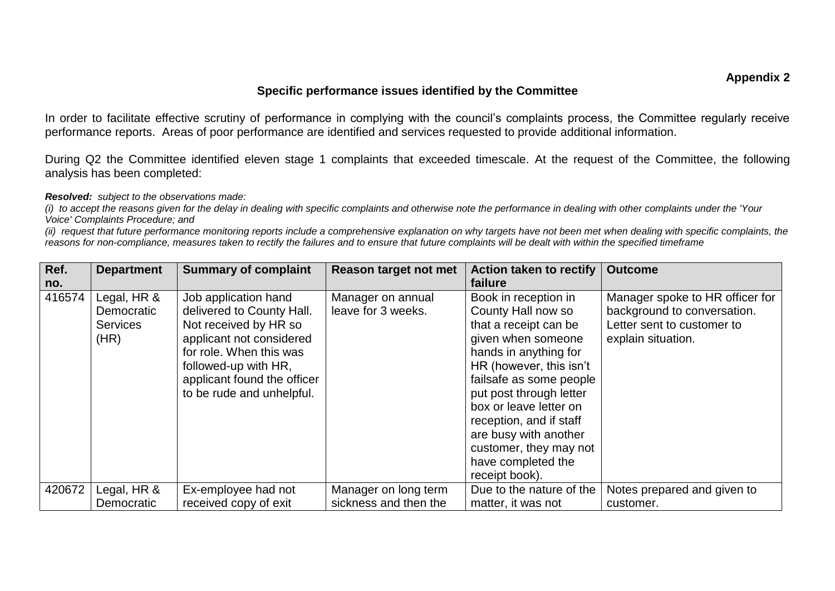## **Specific performance issues identified by the Committee**

In order to facilitate effective scrutiny of performance in complying with the council's complaints process, the Committee regularly receive performance reports. Areas of poor performance are identified and services requested to provide additional information.

During Q2 the Committee identified eleven stage 1 complaints that exceeded timescale. At the request of the Committee, the following analysis has been completed:

*Resolved: subject to the observations made:*

*(i) to accept the reasons given for the delay in dealing with specific complaints and otherwise note the performance in dealing with other complaints under the 'Your Voice' Complaints Procedure; and*

*<sup>(</sup>ii) request that future performance monitoring reports include a comprehensive explanation on why targets have not been met when dealing with specific complaints, the reasons for non-compliance, measures taken to rectify the failures and to ensure that future complaints will be dealt with within the specified timeframe*

| Ref.   | <b>Department</b>                                    | <b>Summary of complaint</b>                                                                                                                                                                                           | Reason target not met                   | <b>Action taken to rectify</b>                                                                                                                                                                                                                                                                                                                      | <b>Outcome</b>                                                                                                     |
|--------|------------------------------------------------------|-----------------------------------------------------------------------------------------------------------------------------------------------------------------------------------------------------------------------|-----------------------------------------|-----------------------------------------------------------------------------------------------------------------------------------------------------------------------------------------------------------------------------------------------------------------------------------------------------------------------------------------------------|--------------------------------------------------------------------------------------------------------------------|
| no.    |                                                      |                                                                                                                                                                                                                       |                                         | failure                                                                                                                                                                                                                                                                                                                                             |                                                                                                                    |
| 416574 | Legal, HR &<br>Democratic<br><b>Services</b><br>(HR) | Job application hand<br>delivered to County Hall.<br>Not received by HR so<br>applicant not considered<br>for role. When this was<br>followed-up with HR,<br>applicant found the officer<br>to be rude and unhelpful. | Manager on annual<br>leave for 3 weeks. | Book in reception in<br>County Hall now so<br>that a receipt can be<br>given when someone<br>hands in anything for<br>HR (however, this isn't<br>failsafe as some people<br>put post through letter<br>box or leave letter on<br>reception, and if staff<br>are busy with another<br>customer, they may not<br>have completed the<br>receipt book). | Manager spoke to HR officer for<br>background to conversation.<br>Letter sent to customer to<br>explain situation. |
| 420672 | Legal, HR &                                          | Ex-employee had not                                                                                                                                                                                                   | Manager on long term                    | Due to the nature of the                                                                                                                                                                                                                                                                                                                            | Notes prepared and given to                                                                                        |
|        | Democratic                                           | received copy of exit                                                                                                                                                                                                 | sickness and then the                   | matter, it was not                                                                                                                                                                                                                                                                                                                                  | customer.                                                                                                          |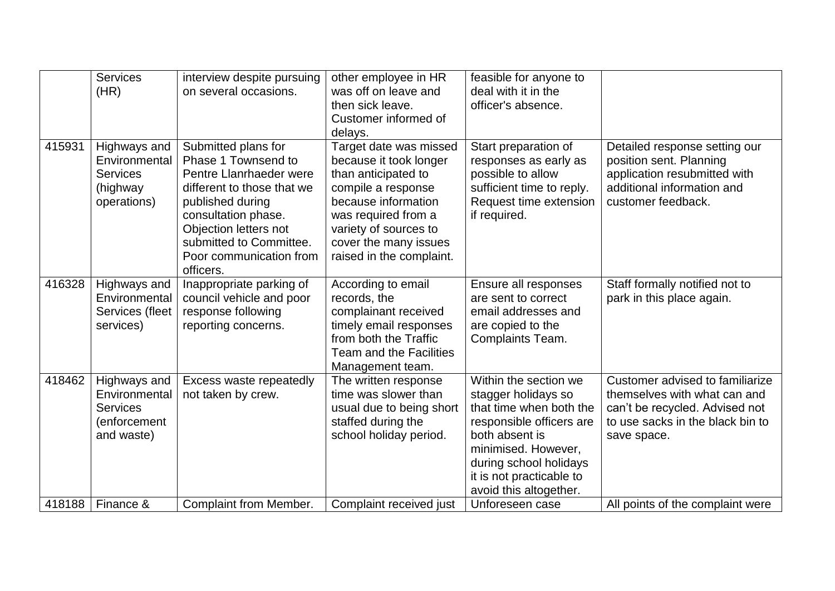|        | <b>Services</b><br>(HR)                                                        | interview despite pursuing<br>on several occasions.                                                                                                                                                                                        | other employee in HR<br>was off on leave and<br>then sick leave.<br>Customer informed of<br>delays.                                                                                                                       | feasible for anyone to<br>deal with it in the<br>officer's absence.                                                                                                                                                          |                                                                                                                                                      |
|--------|--------------------------------------------------------------------------------|--------------------------------------------------------------------------------------------------------------------------------------------------------------------------------------------------------------------------------------------|---------------------------------------------------------------------------------------------------------------------------------------------------------------------------------------------------------------------------|------------------------------------------------------------------------------------------------------------------------------------------------------------------------------------------------------------------------------|------------------------------------------------------------------------------------------------------------------------------------------------------|
| 415931 | Highways and<br>Environmental<br><b>Services</b><br>(highway<br>operations)    | Submitted plans for<br>Phase 1 Townsend to<br>Pentre Llanrhaeder were<br>different to those that we<br>published during<br>consultation phase.<br>Objection letters not<br>submitted to Committee.<br>Poor communication from<br>officers. | Target date was missed<br>because it took longer<br>than anticipated to<br>compile a response<br>because information<br>was required from a<br>variety of sources to<br>cover the many issues<br>raised in the complaint. | Start preparation of<br>responses as early as<br>possible to allow<br>sufficient time to reply.<br>Request time extension<br>if required.                                                                                    | Detailed response setting our<br>position sent. Planning<br>application resubmitted with<br>additional information and<br>customer feedback.         |
| 416328 | Highways and<br>Environmental<br>Services (fleet<br>services)                  | Inappropriate parking of<br>council vehicle and poor<br>response following<br>reporting concerns.                                                                                                                                          | According to email<br>records, the<br>complainant received<br>timely email responses<br>from both the Traffic<br><b>Team and the Facilities</b><br>Management team.                                                       | Ensure all responses<br>are sent to correct<br>email addresses and<br>are copied to the<br>Complaints Team.                                                                                                                  | Staff formally notified not to<br>park in this place again.                                                                                          |
| 418462 | Highways and<br>Environmental<br><b>Services</b><br>(enforcement<br>and waste) | Excess waste repeatedly<br>not taken by crew.                                                                                                                                                                                              | The written response<br>time was slower than<br>usual due to being short<br>staffed during the<br>school holiday period.                                                                                                  | Within the section we<br>stagger holidays so<br>that time when both the<br>responsible officers are<br>both absent is<br>minimised. However,<br>during school holidays<br>it is not practicable to<br>avoid this altogether. | Customer advised to familiarize<br>themselves with what can and<br>can't be recycled. Advised not<br>to use sacks in the black bin to<br>save space. |
| 418188 | Finance &                                                                      | <b>Complaint from Member.</b>                                                                                                                                                                                                              | Complaint received just                                                                                                                                                                                                   | Unforeseen case                                                                                                                                                                                                              | All points of the complaint were                                                                                                                     |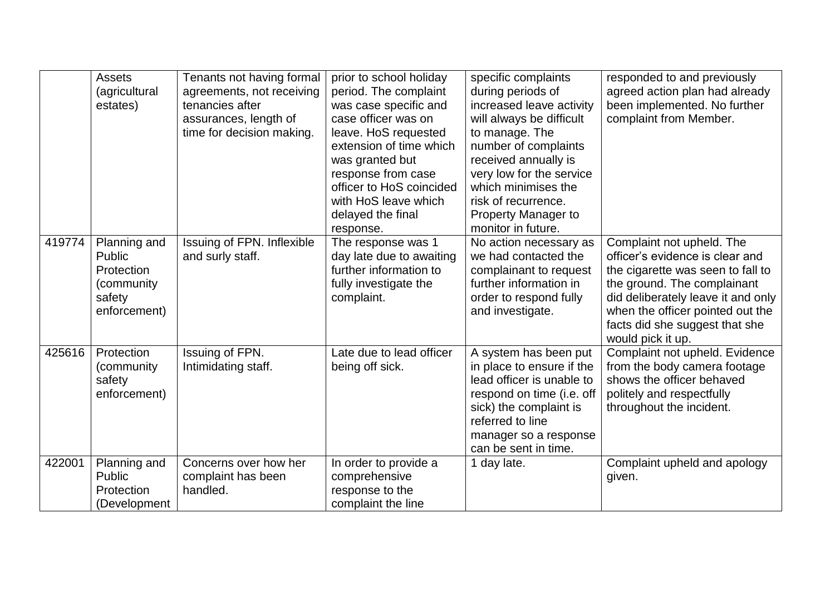|        | <b>Assets</b><br>(agricultural<br>estates)                                   | Tenants not having formal<br>agreements, not receiving<br>tenancies after<br>assurances, length of<br>time for decision making. | prior to school holiday<br>period. The complaint<br>was case specific and<br>case officer was on<br>leave. HoS requested<br>extension of time which<br>was granted but<br>response from case<br>officer to HoS coincided<br>with HoS leave which<br>delayed the final<br>response. | specific complaints<br>during periods of<br>increased leave activity<br>will always be difficult<br>to manage. The<br>number of complaints<br>received annually is<br>very low for the service<br>which minimises the<br>risk of recurrence.<br><b>Property Manager to</b><br>monitor in future. | responded to and previously<br>agreed action plan had already<br>been implemented. No further<br>complaint from Member.                                                                                                                                           |
|--------|------------------------------------------------------------------------------|---------------------------------------------------------------------------------------------------------------------------------|------------------------------------------------------------------------------------------------------------------------------------------------------------------------------------------------------------------------------------------------------------------------------------|--------------------------------------------------------------------------------------------------------------------------------------------------------------------------------------------------------------------------------------------------------------------------------------------------|-------------------------------------------------------------------------------------------------------------------------------------------------------------------------------------------------------------------------------------------------------------------|
| 419774 | Planning and<br>Public<br>Protection<br>(community<br>safety<br>enforcement) | Issuing of FPN. Inflexible<br>and surly staff.                                                                                  | The response was 1<br>day late due to awaiting<br>further information to<br>fully investigate the<br>complaint.                                                                                                                                                                    | No action necessary as<br>we had contacted the<br>complainant to request<br>further information in<br>order to respond fully<br>and investigate.                                                                                                                                                 | Complaint not upheld. The<br>officer's evidence is clear and<br>the cigarette was seen to fall to<br>the ground. The complainant<br>did deliberately leave it and only<br>when the officer pointed out the<br>facts did she suggest that she<br>would pick it up. |
| 425616 | Protection<br>(community<br>safety<br>enforcement)                           | Issuing of FPN.<br>Intimidating staff.                                                                                          | Late due to lead officer<br>being off sick.                                                                                                                                                                                                                                        | A system has been put<br>in place to ensure if the<br>lead officer is unable to<br>respond on time (i.e. off<br>sick) the complaint is<br>referred to line<br>manager so a response<br>can be sent in time.                                                                                      | Complaint not upheld. Evidence<br>from the body camera footage<br>shows the officer behaved<br>politely and respectfully<br>throughout the incident.                                                                                                              |
| 422001 | Planning and<br>Public<br>Protection<br>(Development                         | Concerns over how her<br>complaint has been<br>handled.                                                                         | In order to provide a<br>comprehensive<br>response to the<br>complaint the line                                                                                                                                                                                                    | 1 day late.                                                                                                                                                                                                                                                                                      | Complaint upheld and apology<br>given.                                                                                                                                                                                                                            |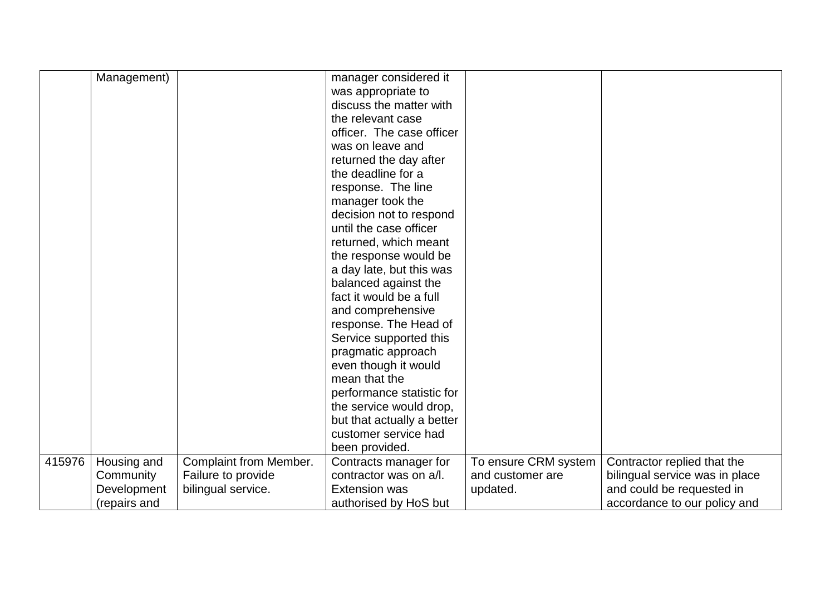|        | Management)  |                        | manager considered it      |                      |                                |
|--------|--------------|------------------------|----------------------------|----------------------|--------------------------------|
|        |              |                        | was appropriate to         |                      |                                |
|        |              |                        | discuss the matter with    |                      |                                |
|        |              |                        | the relevant case          |                      |                                |
|        |              |                        | officer. The case officer  |                      |                                |
|        |              |                        | was on leave and           |                      |                                |
|        |              |                        | returned the day after     |                      |                                |
|        |              |                        | the deadline for a         |                      |                                |
|        |              |                        | response. The line         |                      |                                |
|        |              |                        | manager took the           |                      |                                |
|        |              |                        | decision not to respond    |                      |                                |
|        |              |                        | until the case officer     |                      |                                |
|        |              |                        | returned, which meant      |                      |                                |
|        |              |                        | the response would be      |                      |                                |
|        |              |                        | a day late, but this was   |                      |                                |
|        |              |                        | balanced against the       |                      |                                |
|        |              |                        | fact it would be a full    |                      |                                |
|        |              |                        | and comprehensive          |                      |                                |
|        |              |                        | response. The Head of      |                      |                                |
|        |              |                        | Service supported this     |                      |                                |
|        |              |                        | pragmatic approach         |                      |                                |
|        |              |                        | even though it would       |                      |                                |
|        |              |                        | mean that the              |                      |                                |
|        |              |                        | performance statistic for  |                      |                                |
|        |              |                        | the service would drop,    |                      |                                |
|        |              |                        | but that actually a better |                      |                                |
|        |              |                        | customer service had       |                      |                                |
|        |              |                        | been provided.             |                      |                                |
| 415976 | Housing and  | Complaint from Member. | Contracts manager for      | To ensure CRM system | Contractor replied that the    |
|        | Community    | Failure to provide     | contractor was on a/l.     | and customer are     | bilingual service was in place |
|        | Development  | bilingual service.     | <b>Extension was</b>       | updated.             | and could be requested in      |
|        | (repairs and |                        | authorised by HoS but      |                      | accordance to our policy and   |